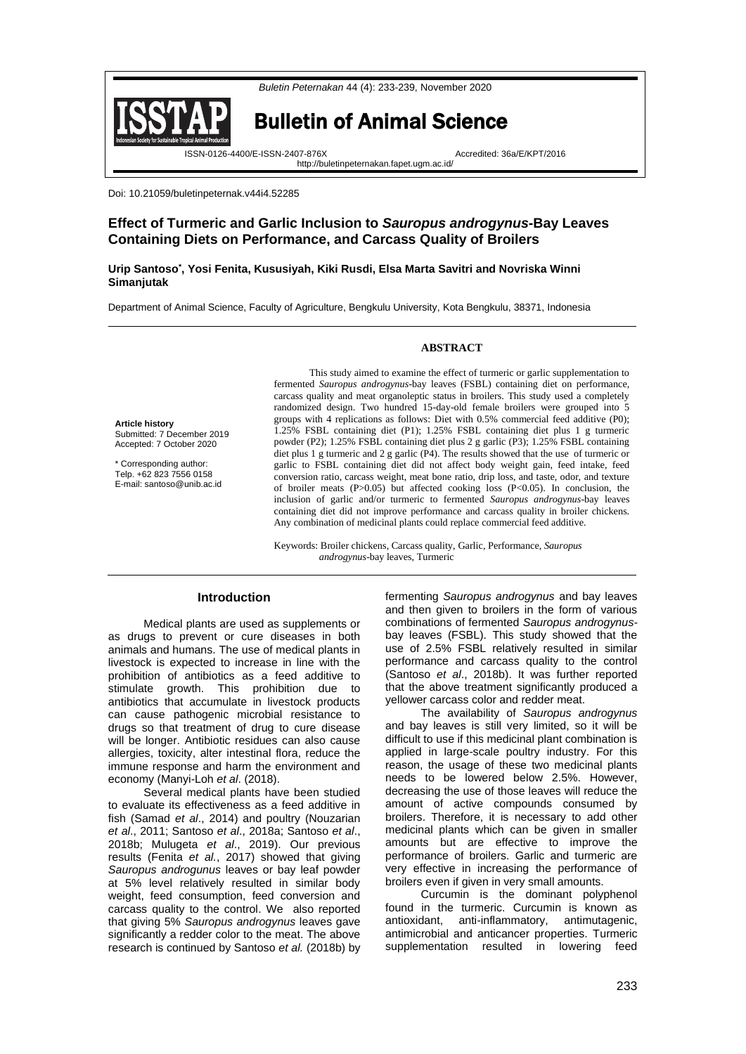



Bulletin of Animal Science

http://buletinpeternakan.fapet.ugm.ac.id/

ISSN-0126-4400/E-ISSN-2407-876X Accredited: 36a/E/KPT/2016

Doi: 10.21059/buletinpeternak.v44i4.52285

# **Effect of Turmeric and Garlic Inclusion to** *Sauropus androgynus***-Bay Leaves Containing Diets on Performance, and Carcass Quality of Broilers**

**Urip Santoso\* , Yosi Fenita, Kususiyah, Kiki Rusdi, Elsa Marta Savitri and Novriska Winni Simanjutak**

Department of Animal Science, Faculty of Agriculture, Bengkulu University, Kota Bengkulu, 38371, Indonesia

### **ABSTRACT**

**Article history** Submitted: 7 December 2019 Accepted: 7 October 2020

\* Corresponding author: Telp. +62 823 7556 0158 E-mail: santoso@unib.ac.id

This study aimed to examine the effect of turmeric or garlic supplementation to fermented *Sauropus androgynus*-bay leaves (FSBL) containing diet on performance, carcass quality and meat organoleptic status in broilers. This study used a completely randomized design. Two hundred 15-day-old female broilers were grouped into 5 groups with 4 replications as follows: Diet with 0.5% commercial feed additive (P0); 1.25% FSBL containing diet (P1); 1.25% FSBL containing diet plus 1 g turmeric powder (P2); 1.25% FSBL containing diet plus 2 g garlic (P3); 1.25% FSBL containing diet plus 1 g turmeric and 2 g garlic (P4). The results showed that the use of turmeric or garlic to FSBL containing diet did not affect body weight gain, feed intake, feed conversion ratio, carcass weight, meat bone ratio, drip loss, and taste, odor, and texture of broiler meats  $(P>0.05)$  but affected cooking loss  $(P<0.05)$ . In conclusion, the inclusion of garlic and/or turmeric to fermented *Sauropus androgynus*-bay leaves containing diet did not improve performance and carcass quality in broiler chickens. Any combination of medicinal plants could replace commercial feed additive.

Keywords: Broiler chickens, Carcass quality, Garlic, Performance, *Sauropus androgynus*-bay leaves, Turmeric

# **Introduction**

Medical plants are used as supplements or as drugs to prevent or cure diseases in both animals and humans. The use of medical plants in livestock is expected to increase in line with the prohibition of antibiotics as a feed additive to stimulate growth. This prohibition due to antibiotics that accumulate in livestock products can cause pathogenic microbial resistance to drugs so that treatment of drug to cure disease will be longer. Antibiotic residues can also cause allergies, toxicity, alter intestinal flora, reduce the immune response and harm the environment and economy (Manyi-Loh *et al*. (2018).

Several medical plants have been studied to evaluate its effectiveness as a feed additive in fish (Samad *et al*., 2014) and poultry (Nouzarian *et al*., 2011; Santoso *et al*., 2018a; Santoso *et al*., 2018b; Mulugeta *et al*., 2019). Our previous results (Fenita *et al.*, 2017) showed that giving *Sauropus androgunus* leaves or bay leaf powder at 5% level relatively resulted in similar body weight, feed consumption, feed conversion and carcass quality to the control. We also reported that giving 5% *Sauropus androgynus* leaves gave significantly a redder color to the meat. The above research is continued by Santoso *et al.* (2018b) by

fermenting *Sauropus androgynus* and bay leaves and then given to broilers in the form of various combinations of fermented *Sauropus androgynus*bay leaves (FSBL). This study showed that the use of 2.5% FSBL relatively resulted in similar performance and carcass quality to the control (Santoso *et al*., 2018b). It was further reported that the above treatment significantly produced a yellower carcass color and redder meat.

The availability of *Sauropus androgynus* and bay leaves is still very limited, so it will be difficult to use if this medicinal plant combination is applied in large-scale poultry industry. For this reason, the usage of these two medicinal plants needs to be lowered below 2.5%. However, decreasing the use of those leaves will reduce the amount of active compounds consumed by broilers. Therefore, it is necessary to add other medicinal plants which can be given in smaller amounts but are effective to improve the performance of broilers. Garlic and turmeric are very effective in increasing the performance of broilers even if given in very small amounts.

Curcumin is the dominant polyphenol found in the turmeric. Curcumin is known as antioxidant, anti-inflammatory, antimutagenic, antimicrobial and anticancer properties. Turmeric supplementation resulted in lowering feed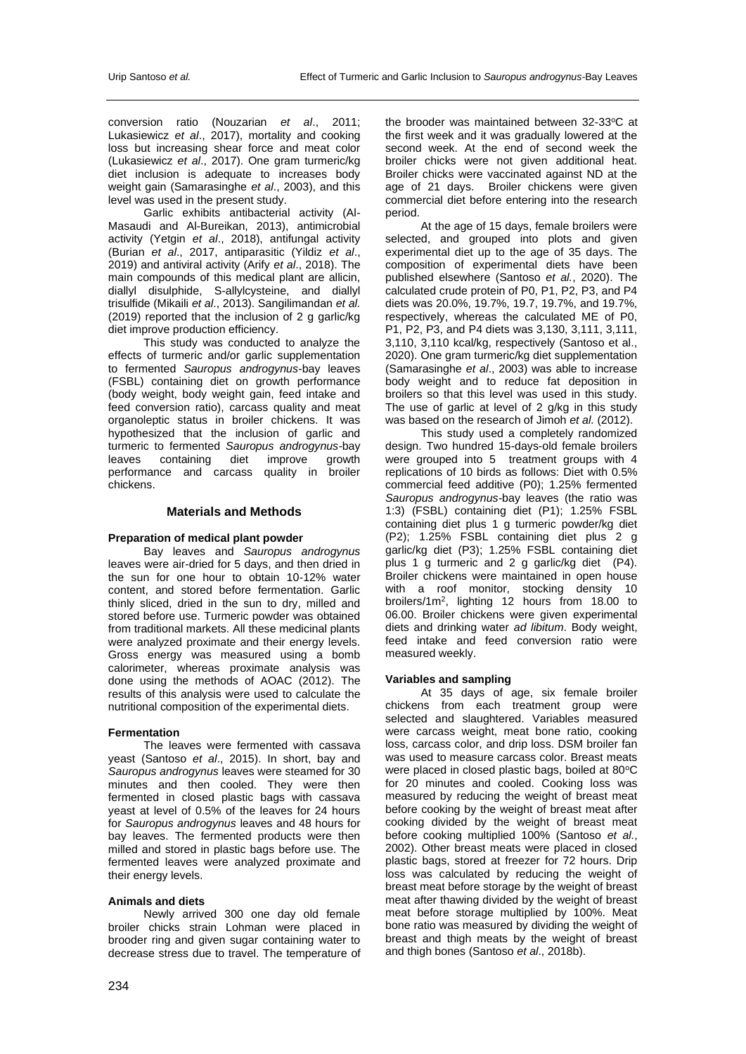conversion ratio (Nouzarian *et al*., 2011; Lukasiewicz *et al*., 2017), mortality and cooking loss but increasing shear force and meat color (Lukasiewicz *et al*., 2017). One gram turmeric/kg diet inclusion is adequate to increases body weight gain (Samarasinghe *et al*., 2003), and this level was used in the present study.

Garlic exhibits antibacterial activity (Al-Masaudi and Al-Bureikan, 2013), antimicrobial activity (Yetgin *et al*., 2018), antifungal activity (Burian *et al*., 2017, antiparasitic (Yildiz *et al*., 2019) and antiviral activity (Arify *et al*., 2018). The main compounds of this medical plant are allicin, diallyl disulphide, S-allylcysteine, and diallyl trisulfide (Mikaili *et al*., 2013). Sangilimandan *et al.* (2019) reported that the inclusion of 2 g garlic/kg diet improve production efficiency.

This study was conducted to analyze the effects of turmeric and/or garlic supplementation to fermented *Sauropus androgynus*-bay leaves (FSBL) containing diet on growth performance (body weight, body weight gain, feed intake and feed conversion ratio), carcass quality and meat organoleptic status in broiler chickens. It was hypothesized that the inclusion of garlic and turmeric to fermented *Sauropus androgynus-*bay leaves containing diet improve growth performance and carcass quality in broiler chickens.

# **Materials and Methods**

### **Preparation of medical plant powder**

Bay leaves and *Sauropus androgynus* leaves were air-dried for 5 days, and then dried in the sun for one hour to obtain 10-12% water content, and stored before fermentation. Garlic thinly sliced, dried in the sun to dry, milled and stored before use. Turmeric powder was obtained from traditional markets. All these medicinal plants were analyzed proximate and their energy levels. Gross energy was measured using a bomb calorimeter, whereas proximate analysis was done using the methods of AOAC (2012). The results of this analysis were used to calculate the nutritional composition of the experimental diets.

# **Fermentation**

The leaves were fermented with cassava yeast (Santoso *et al*., 2015). In short, bay and *Sauropus androgynus* leaves were steamed for 30 minutes and then cooled. They were then fermented in closed plastic bags with cassava yeast at level of 0.5% of the leaves for 24 hours for *Sauropus androgynus* leaves and 48 hours for bay leaves. The fermented products were then milled and stored in plastic bags before use. The fermented leaves were analyzed proximate and their energy levels.

### **Animals and diets**

Newly arrived 300 one day old female broiler chicks strain Lohman were placed in brooder ring and given sugar containing water to decrease stress due to travel. The temperature of

the brooder was maintained between  $32-33$ °C at the first week and it was gradually lowered at the second week. At the end of second week the broiler chicks were not given additional heat. Broiler chicks were vaccinated against ND at the age of 21 days. Broiler chickens were given commercial diet before entering into the research period.

At the age of 15 days, female broilers were selected, and grouped into plots and given experimental diet up to the age of 35 days. The composition of experimental diets have been published elsewhere (Santoso *et al.*, 2020). The calculated crude protein of P0, P1, P2, P3, and P4 diets was 20.0%, 19.7%, 19.7, 19.7%, and 19.7%, respectively, whereas the calculated ME of P0, P1, P2, P3, and P4 diets was 3,130, 3,111, 3,111, 3,110, 3,110 kcal/kg, respectively (Santoso et al., 2020). One gram turmeric/kg diet supplementation (Samarasinghe *et al*., 2003) was able to increase body weight and to reduce fat deposition in broilers so that this level was used in this study. The use of garlic at level of 2 g/kg in this study was based on the research of Jimoh *et al.* (2012).

This study used a completely randomized design. Two hundred 15-days-old female broilers were grouped into 5 treatment groups with 4 replications of 10 birds as follows: Diet with 0.5% commercial feed additive (P0); 1.25% fermented *Sauropus androgynus*-bay leaves (the ratio was 1:3) (FSBL) containing diet (P1); 1.25% FSBL containing diet plus 1 g turmeric powder/kg diet (P2); 1.25% FSBL containing diet plus 2 g garlic/kg diet (P3); 1.25% FSBL containing diet plus 1 g turmeric and 2 g garlic/kg diet (P4). Broiler chickens were maintained in open house with a roof monitor, stocking density 10 broilers/1m<sup>2</sup> , lighting 12 hours from 18.00 to 06.00. Broiler chickens were given experimental diets and drinking water *ad libitum*. Body weight, feed intake and feed conversion ratio were measured weekly.

### **Variables and sampling**

At 35 days of age, six female broiler chickens from each treatment group were selected and slaughtered. Variables measured were carcass weight, meat bone ratio, cooking loss, carcass color, and drip loss. DSM broiler fan was used to measure carcass color. Breast meats were placed in closed plastic bags, boiled at 80°C for 20 minutes and cooled. Cooking loss was measured by reducing the weight of breast meat before cooking by the weight of breast meat after cooking divided by the weight of breast meat before cooking multiplied 100% (Santoso *et al.*, 2002). Other breast meats were placed in closed plastic bags, stored at freezer for 72 hours. Drip loss was calculated by reducing the weight of breast meat before storage by the weight of breast meat after thawing divided by the weight of breast meat before storage multiplied by 100%. Meat bone ratio was measured by dividing the weight of breast and thigh meats by the weight of breast and thigh bones (Santoso *et al*., 2018b).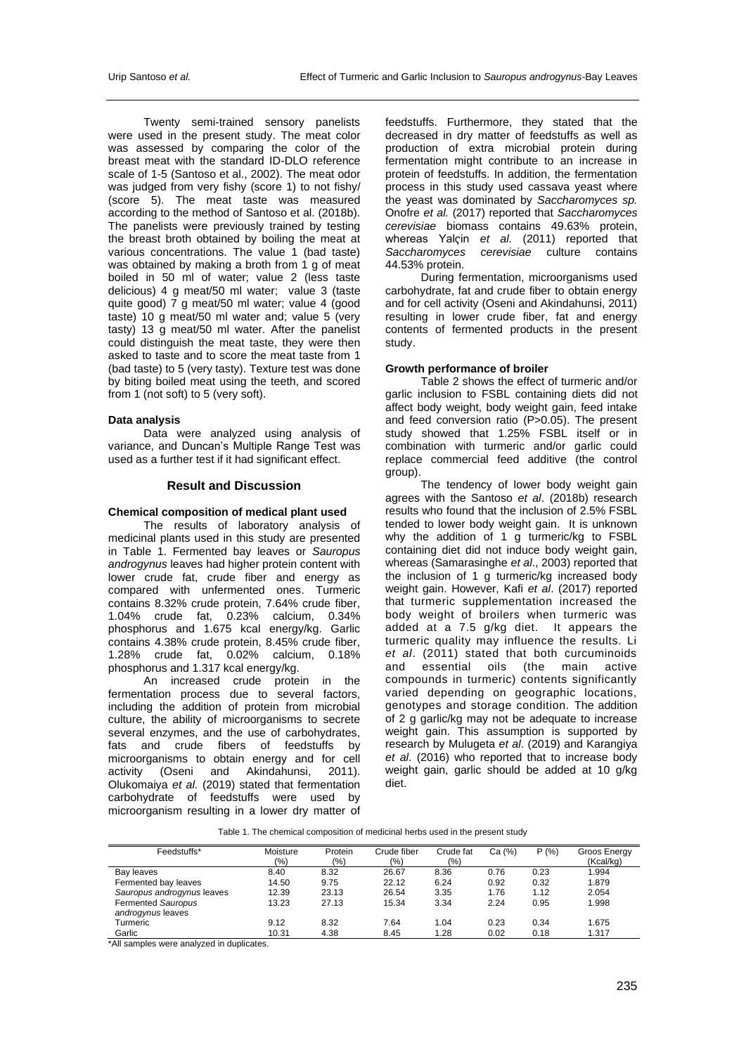Twenty semi-trained sensory panelists were used in the present study. The meat color was assessed by comparing the color of the breast meat with the standard ID-DLO reference scale of 1-5 (Santoso et al., 2002). The meat odor was judged from very fishy (score 1) to not fishy/ (score 5). The meat taste was measured according to the method of Santoso et al. (2018b). The panelists were previously trained by testing the breast broth obtained by boiling the meat at various concentrations. The value 1 (bad taste) was obtained by making a broth from 1 g of meat boiled in 50 ml of water; value 2 (less taste delicious) 4 g meat/50 ml water; value 3 (taste quite good) 7 g meat/50 ml water; value 4 (good taste) 10 g meat/50 ml water and; value 5 (very tasty) 13 g meat/50 ml water. After the panelist could distinguish the meat taste, they were then asked to taste and to score the meat taste from 1 (bad taste) to 5 (very tasty). Texture test was done by biting boiled meat using the teeth, and scored from 1 (not soft) to 5 (very soft).

### **Data analysis**

Data were analyzed using analysis of variance, and Duncan's Multiple Range Test was used as a further test if it had significant effect.

# **Result and Discussion**

# **Chemical composition of medical plant used**

The results of laboratory analysis of medicinal plants used in this study are presented in Table 1. Fermented bay leaves or *Sauropus androgynus* leaves had higher protein content with lower crude fat, crude fiber and energy as compared with unfermented ones. Turmeric contains 8.32% crude protein, 7.64% crude fiber, 1.04% crude fat, 0.23% calcium, 0.34% phosphorus and 1.675 kcal energy/kg. Garlic contains 4.38% crude protein, 8.45% crude fiber, 1.28% crude fat, 0.02% calcium, 0.18% phosphorus and 1.317 kcal energy/kg.

An increased crude protein in the fermentation process due to several factors, including the addition of protein from microbial culture, the ability of microorganisms to secrete several enzymes, and the use of carbohydrates, fats and crude fibers of feedstuffs by microorganisms to obtain energy and for cell<br>activity (Oseni and Akindahunsi, 2011). (Oseni and Akindahunsi, Olukomaiya *et al.* (2019) stated that fermentation carbohydrate of feedstuffs were used by microorganism resulting in a lower dry matter of

feedstuffs. Furthermore, they stated that the decreased in dry matter of feedstuffs as well as production of extra microbial protein during fermentation might contribute to an increase in protein of feedstuffs. In addition, the fermentation process in this study used cassava yeast where the yeast was dominated by *Saccharomyces sp.* Onofre *et al.* (2017) reported that *Saccharomyces cerevisiae* biomass contains 49.63% protein, whereas Yalçin *et al.* (2011) reported that *Saccharomyces cerevisiae* culture contains 44.53% protein.

During fermentation, microorganisms used carbohydrate, fat and crude fiber to obtain energy and for cell activity (Oseni and Akindahunsi, 2011) resulting in lower crude fiber, fat and energy contents of fermented products in the present study.

### **Growth performance of broiler**

Table 2 shows the effect of turmeric and/or garlic inclusion to FSBL containing diets did not affect body weight, body weight gain, feed intake and feed conversion ratio (P>0.05). The present study showed that 1.25% FSBL itself or in combination with turmeric and/or garlic could replace commercial feed additive (the control group).

The tendency of lower body weight gain agrees with the Santoso *et al*. (2018b) research results who found that the inclusion of 2.5% FSBL tended to lower body weight gain. It is unknown why the addition of 1 g turmeric/kg to FSBL containing diet did not induce body weight gain, whereas (Samarasinghe *et al*., 2003) reported that the inclusion of 1 g turmeric/kg increased body weight gain. However, Kafi *et al*. (2017) reported that turmeric supplementation increased the body weight of broilers when turmeric was added at a 7.5 g/kg diet. It appears the turmeric quality may influence the results. Li *et al*. (2011) stated that both curcuminoids and essential oils (the main active compounds in turmeric) contents significantly varied depending on geographic locations, genotypes and storage condition. The addition of 2 g garlic/kg may not be adequate to increase weight gain. This assumption is supported by research by Mulugeta *et al*. (2019) and Karangiya *et al*. (2016) who reported that to increase body weight gain, garlic should be added at 10 g/kg diet.

| Feedstuffs*                | Moisture | Protein | Crude fiber | Crude fat | Ca (%) | P(% ) | Groos Energy |
|----------------------------|----------|---------|-------------|-----------|--------|-------|--------------|
|                            | $(\% )$  | (9/0)   | (%)         | (9/6)     |        |       | (Kcal/kg)    |
| Bay leaves                 | 8.40     | 8.32    | 26.67       | 8.36      | 0.76   | 0.23  | 1.994        |
| Fermented bay leaves       | 14.50    | 9.75    | 22.12       | 6.24      | 0.92   | 0.32  | 1.879        |
| Sauropus androgynus leaves | 12.39    | 23.13   | 26.54       | 3.35      | 1.76   | 1.12  | 2.054        |
| Fermented Sauropus         | 13.23    | 27.13   | 15.34       | 3.34      | 2.24   | 0.95  | 1.998        |
| androgynus leaves          |          |         |             |           |        |       |              |
| Turmeric                   | 9.12     | 8.32    | 7.64        | 1.04      | 0.23   | 0.34  | 1.675        |
| Garlic                     | 10.31    | 4.38    | 8.45        | 1.28      | 0.02   | 0.18  | 1.317        |

Table 1. The chemical composition of medicinal herbs used in the present study

\*All samples were analyzed in duplicates.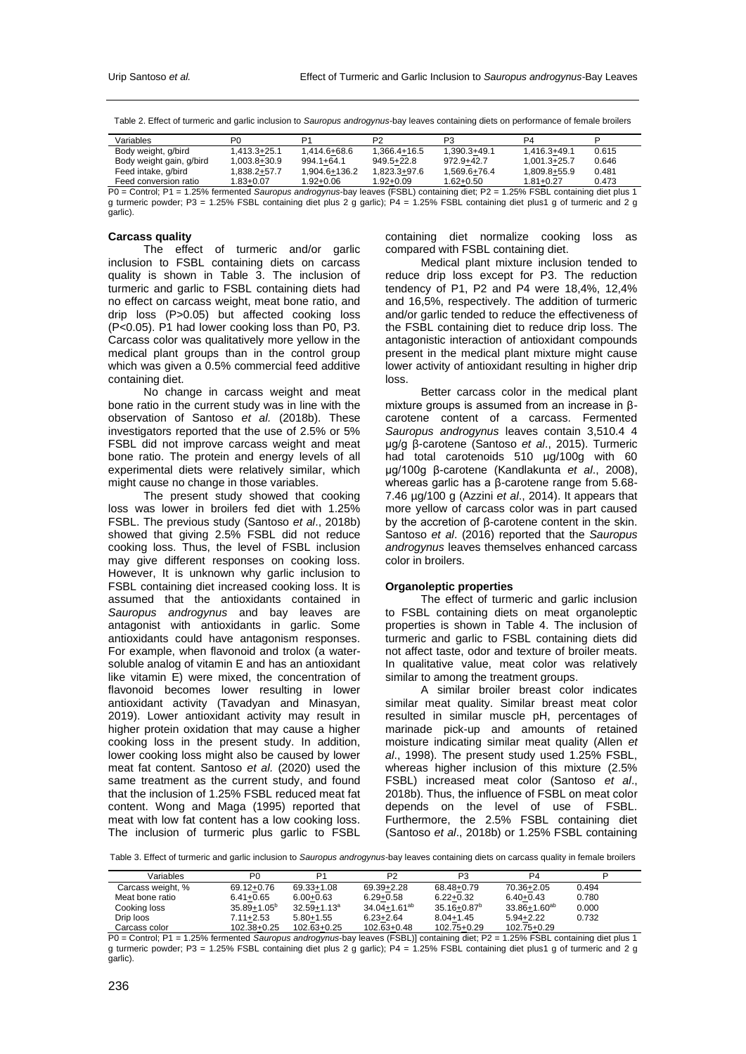Table 2. Effect of turmeric and garlic inclusion to *Sauropus androgynus*-bay leaves containing diets on performance of female broilers

| Variables                                    | P <sub>0</sub> | D1                                                                                                                                                                                                                                                                                                                                                                                   | P2             | P3           | P4            |       |
|----------------------------------------------|----------------|--------------------------------------------------------------------------------------------------------------------------------------------------------------------------------------------------------------------------------------------------------------------------------------------------------------------------------------------------------------------------------------|----------------|--------------|---------------|-------|
| Body weight, g/bird                          | 1.413.3+25.1   | 1.414.6+68.6                                                                                                                                                                                                                                                                                                                                                                         | 1.366.4+16.5   | 1.390.3+49.1 | 1.416.3+49.1  | 0.615 |
| Body weight gain, g/bird                     | 1.003.8+30.9   | $994.1 + 64.1$                                                                                                                                                                                                                                                                                                                                                                       | $949.5 + 22.8$ | 972.9+42.7   | 1.001.3+25.7  | 0.646 |
| Feed intake, g/bird                          | 1.838.2+57.7   | 1.904.6+136.2                                                                                                                                                                                                                                                                                                                                                                        | 1.823.3+97.6   | 1.569.6+76.4 | 1.809.8+55.9  | 0.481 |
| Feed conversion ratio                        | 1.83+0.07      | 1.92+0.06                                                                                                                                                                                                                                                                                                                                                                            | 1.92+0.09      | 1.62+0.50    | $1.81 + 0.27$ | 0.473 |
| $\mathbb{R}^n$ $\mathbb{R}^n$ $\mathbb{R}^n$ |                | $\overline{1}$ $\overline{0}$ $\overline{1}$ $\overline{1}$ $\overline{1}$ $\overline{1}$ $\overline{1}$ $\overline{1}$ $\overline{1}$ $\overline{1}$ $\overline{1}$ $\overline{1}$ $\overline{1}$ $\overline{1}$ $\overline{1}$ $\overline{1}$ $\overline{1}$ $\overline{1}$ $\overline{1}$ $\overline{1}$ $\overline{1}$ $\overline{1}$ $\overline{1}$ $\overline{1}$ $\overline{$ |                |              |               |       |

P0 = Control; P1 = 1.25% fermented *Sauropus androgynus*-bay leaves (FSBL) containing diet; P2 = 1.25% FSBL containing diet plus 1 g turmeric powder; P3 = 1.25% FSBL containing diet plus 2 g garlic); P4 = 1.25% FSBL containing diet plus1 g of turmeric and 2 g garlic).

### **Carcass quality**

The effect of turmeric and/or garlic inclusion to FSBL containing diets on carcass quality is shown in Table 3. The inclusion of turmeric and garlic to FSBL containing diets had no effect on carcass weight, meat bone ratio, and drip loss (P>0.05) but affected cooking loss (P<0.05). P1 had lower cooking loss than P0, P3. Carcass color was qualitatively more yellow in the medical plant groups than in the control group which was given a 0.5% commercial feed additive containing diet.

No change in carcass weight and meat bone ratio in the current study was in line with the observation of Santoso *et al.* (2018b). These investigators reported that the use of 2.5% or 5% FSBL did not improve carcass weight and meat bone ratio. The protein and energy levels of all experimental diets were relatively similar, which might cause no change in those variables.

The present study showed that cooking loss was lower in broilers fed diet with 1.25% FSBL. The previous study (Santoso *et al*., 2018b) showed that giving 2.5% FSBL did not reduce cooking loss. Thus, the level of FSBL inclusion may give different responses on cooking loss. However, It is unknown why garlic inclusion to FSBL containing diet increased cooking loss. It is assumed that the antioxidants contained in *Sauropus androgynus* and bay leaves are antagonist with antioxidants in garlic. Some antioxidants could have antagonism responses. For example, when flavonoid and trolox (a watersoluble analog of vitamin E and has an antioxidant like vitamin E) were mixed, the concentration of flavonoid becomes lower resulting in lower antioxidant activity (Tavadyan and Minasyan, 2019). Lower antioxidant activity may result in higher protein oxidation that may cause a higher cooking loss in the present study. In addition, lower cooking loss might also be caused by lower meat fat content. Santoso *et al.* (2020) used the same treatment as the current study, and found that the inclusion of 1.25% FSBL reduced meat fat content. Wong and Maga (1995) reported that meat with low fat content has a low cooking loss. The inclusion of turmeric plus garlic to FSBL

containing diet normalize cooking loss as compared with FSBL containing diet.

Medical plant mixture inclusion tended to reduce drip loss except for P3. The reduction tendency of P1, P2 and P4 were 18,4%, 12,4% and 16,5%, respectively. The addition of turmeric and/or garlic tended to reduce the effectiveness of the FSBL containing diet to reduce drip loss. The antagonistic interaction of antioxidant compounds present in the medical plant mixture might cause lower activity of antioxidant resulting in higher drip loss.

Better carcass color in the medical plant mixture groups is assumed from an increase in βcarotene content of a carcass. Fermented *Sauropus androgynus* leaves contain 3,510.4 4 µg/g β-carotene (Santoso *et al*., 2015). Turmeric had total carotenoids 510 µg/100g with 60 µg/100g β-carotene (Kandlakunta *et al*., 2008), whereas garlic has a β-carotene range from 5.68-7.46 µg/100 g (Azzini *et al*., 2014). It appears that more yellow of carcass color was in part caused by the accretion of β-carotene content in the skin. Santoso *et al*. (2016) reported that the *Sauropus androgynus* leaves themselves enhanced carcass color in broilers.

### **Organoleptic properties**

The effect of turmeric and garlic inclusion to FSBL containing diets on meat organoleptic properties is shown in Table 4. The inclusion of turmeric and garlic to FSBL containing diets did not affect taste, odor and texture of broiler meats. In qualitative value, meat color was relatively similar to among the treatment groups.

A similar broiler breast color indicates similar meat quality. Similar breast meat color resulted in similar muscle pH, percentages of marinade pick-up and amounts of retained moisture indicating similar meat quality (Allen *et al*., 1998). The present study used 1.25% FSBL, whereas higher inclusion of this mixture (2.5% FSBL) increased meat color (Santoso *et al*., 2018b). Thus, the influence of FSBL on meat color depends on the level of use of FSBL. Furthermore, the 2.5% FSBL containing diet (Santoso *et al*., 2018b) or 1.25% FSBL containing

Table 3. Effect of turmeric and garlic inclusion to *Sauropus androgynus*-bay leaves containing diets on carcass quality in female broilers

| Variables         | P <sub>0</sub>   | D1               | P2                  | P3                          | P4                  |       |
|-------------------|------------------|------------------|---------------------|-----------------------------|---------------------|-------|
| Carcass weight, % | 69.12+0.76       | 69.33+1.08       | 69.39+2.28          | 68.48+0.79                  | 70.36+2.05          | 0.494 |
| Meat bone ratio   | $6.41 + 0.65$    | $6.00 + 0.63$    | $6.29 + 0.58$       | $6.22 + 0.32$               | $6.40 + 0.43$       | 0.780 |
| Cooking loss      | $35.89 + 1.05^b$ | $32.59 + 1.13^a$ | $34.04 + 1.61^{ab}$ | $35.16 + 0.87$ <sup>b</sup> | $33.86 + 1.60^{ab}$ | 0.000 |
| Drip loos         | 7.11+2.53        | $5.80 + 1.55$    | $6.23 + 2.64$       | $8.04 + 1.45$               | $5.94 + 2.22$       | 0.732 |
| Carcass color     | $102.38 + 0.25$  | $102.63 + 0.25$  | 102.63+0.48         | 102.75+0.29                 | 102.75+0.29         |       |

P0 = Control; P1 = 1.25% fermented *Sauropus androgynus*-bay leaves (FSBL)] containing diet; P2 = 1.25% FSBL containing diet plus 1 g turmeric powder; P3 = 1.25% FSBL containing diet plus 2 g garlic); P4 = 1.25% FSBL containing diet plus1 g of turmeric and 2 g garlic).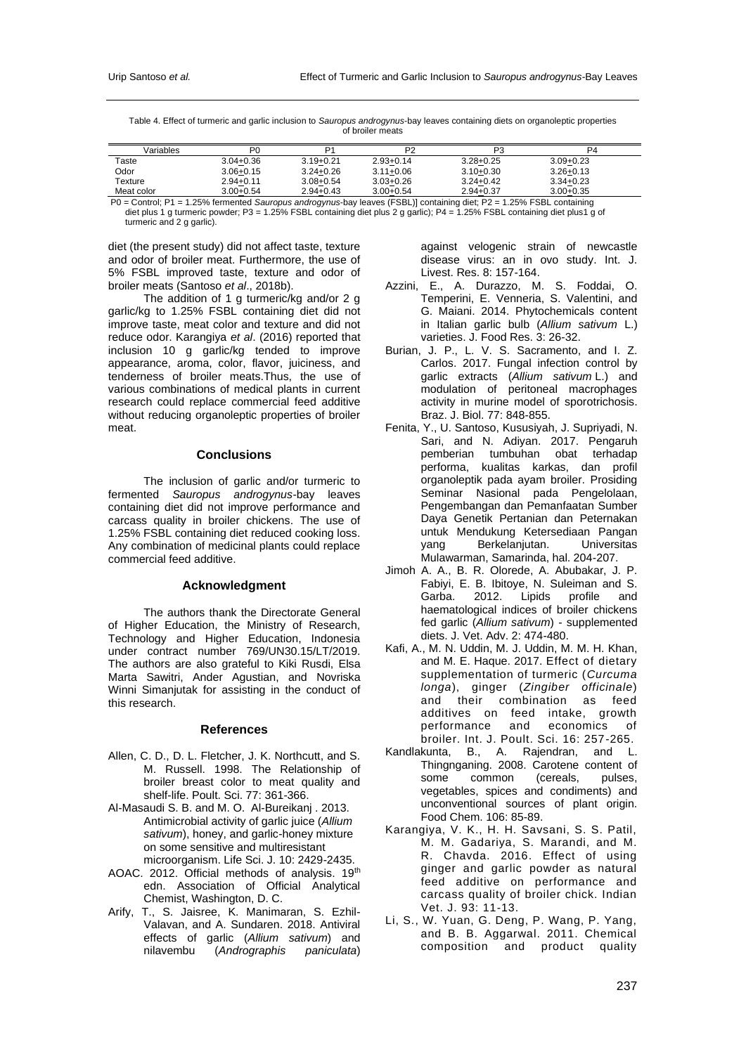Table 4. Effect of turmeric and garlic inclusion to *Sauropus androgynus*-bay leaves containing diets on organoleptic properties of broiler meats

| Variables                                 | P <sub>0</sub>                                         | ٥٠            | P <sub>2</sub> | P <sub>3</sub>                             | P4            |
|-------------------------------------------|--------------------------------------------------------|---------------|----------------|--------------------------------------------|---------------|
| Taste                                     | $3.04 + 0.36$                                          | $3.19 + 0.21$ | $2.93 + 0.14$  | $3.28 + 0.25$                              | $3.09 + 0.23$ |
| Odor                                      | $3.06 + 0.15$                                          | $3.24 + 0.26$ | $3.11 + 0.06$  | $3.10 + 0.30$                              | $3.26 + 0.13$ |
| Texture                                   | $2.94 + 0.11$                                          | $3.08 + 0.54$ | $3.03 + 0.26$  | $3.24 + 0.42$                              | $3.34 + 0.23$ |
| Meat color                                | $3.00 + 0.54$                                          | $2.94 + 0.43$ | $3.00 + 0.54$  | $2.94 + 0.37$                              | $3.00 + 0.35$ |
| $\sim$ $\sim$ $\sim$ $\sim$ $\sim$ $\sim$ | $\cdot$ $\sim$ $\sim$ $\cdot$ $\cdot$<br>$\sim$ $\sim$ |               | $1 - 2 - 1$    | $\cdots$ $\sim$<br>$1.0001$ manufacturers. |               |

P0 = Control; P1 = 1.25% fermented *Sauropus androgynus*-bay leaves (FSBL)] containing diet; P2 = 1.25% FSBL containing diet plus 1 g turmeric powder; P3 = 1.25% FSBL containing diet plus 2 g garlic); P4 = 1.25% FSBL containing diet plus1 g of turmeric and 2 g garlic).

diet (the present study) did not affect taste, texture and odor of broiler meat. Furthermore, the use of 5% FSBL improved taste, texture and odor of broiler meats (Santoso *et al*., 2018b).

The addition of 1 g turmeric/kg and/or 2 g garlic/kg to 1.25% FSBL containing diet did not improve taste, meat color and texture and did not reduce odor. Karangiya *et al*. (2016) reported that inclusion 10 g garlic/kg tended to improve appearance, aroma, color, flavor, juiciness, and tenderness of broiler meats.Thus, the use of various combinations of medical plants in current research could replace commercial feed additive without reducing organoleptic properties of broiler meat.

### **Conclusions**

The inclusion of garlic and/or turmeric to fermented *Sauropus androgynus*-bay leaves containing diet did not improve performance and carcass quality in broiler chickens. The use of 1.25% FSBL containing diet reduced cooking loss. Any combination of medicinal plants could replace commercial feed additive.

# **Acknowledgment**

The authors thank the Directorate General of Higher Education, the Ministry of Research, Technology and Higher Education, Indonesia under contract number 769/UN30.15/LT/2019. The authors are also grateful to Kiki Rusdi, Elsa Marta Sawitri, Ander Agustian, and Novriska Winni Simanjutak for assisting in the conduct of this research.

#### **References**

- Allen, C. D., D. L. Fletcher, J. K. Northcutt, and S. M. Russell. 1998. The Relationship of broiler breast color to meat quality and shelf-life. Poult. Sci. 77: 361-366.
- Al-Masaudi S. B. and M. O. Al-Bureikanj . 2013. Antimicrobial activity of garlic juice (*Allium sativum*), honey, and garlic-honey mixture on some sensitive and multiresistant microorganism. Life Sci. J. 10: 2429-2435.
- AOAC. 2012. Official methods of analysis. 19th edn. Association of Official Analytical Chemist, Washington, D. C.
- Arify, T., S. Jaisree, K. Manimaran, S. Ezhil-Valavan, and A. Sundaren. 2018. Antiviral effects of garlic (*Allium sativum*) and nilavembu (*Andrographis paniculata*)

against velogenic strain of newcastle disease virus: an in ovo study. Int. J. Livest. Res. 8: 157-164.

- Azzini, E., A. Durazzo, M. S. Foddai, O. Temperini, E. Venneria, S. Valentini, and G. Maiani. 2014. Phytochemicals content in Italian garlic bulb (*Allium sativum* L.) varieties. J. Food Res. 3: 26-32.
- Burian, J. P., L. V. S. Sacramento, and I. Z. Carlos. 2017. Fungal infection control by garlic extracts (*Allium sativum* L.) and modulation of peritoneal macrophages activity in murine model of sporotrichosis. Braz. J. Biol. 77: 848-855.
- Fenita, Y., U. Santoso, Kususiyah, J. Supriyadi, N. Sari, and N. Adiyan. 2017. Pengaruh pemberian tumbuhan obat terhadap performa, kualitas karkas, dan profil organoleptik pada ayam broiler. Prosiding Seminar Nasional pada Pengelolaan, Pengembangan dan Pemanfaatan Sumber Daya Genetik Pertanian dan Peternakan untuk Mendukung Ketersediaan Pangan yang Berkelanjutan. Universitas Mulawarman, Samarinda, hal. 204-207.
- Jimoh A. A., B. R. Olorede, A. Abubakar, J. P. Fabiyi, E. B. Ibitoye, N. Suleiman and S. Garba. 2012. Lipids profile and haematological indices of broiler chickens fed garlic (*Allium sativum*) - supplemented diets. J. Vet. Adv. 2: 474-480.
- Kafi, A., M. N. Uddin, M. J. Uddin, M. M. H. Khan, and M. E. Haque. 2017. Effect of dietary supplementation of turmeric (*Curcuma longa*), ginger (*Zingiber officinale*) and their combination as feed additives on feed intake, growth performance and economics of broiler. Int. J. Poult. Sci. 16: 257-265.
- Kandlakunta, B., A. Rajendran, and L. Thingnganing. 2008. Carotene content of some common (cereals, pulses, vegetables, spices and condiments) and unconventional sources of plant origin. Food Chem. 106: 85-89.
- Karangiya, V. K., H. H. Savsani, S. S. Patil, M. M. Gadariya, S. Marandi, and M. R. Chavda. 2016. Effect of using ginger and garlic powder as natural feed additive on performance and carcass quality of broiler chick. Indian Vet. J. 93: 11-13.
- Li, S., W. Yuan, G. Deng, P. Wang, P. Yang, and B. B. Aggarwal. 2011. Chemical composition and product quality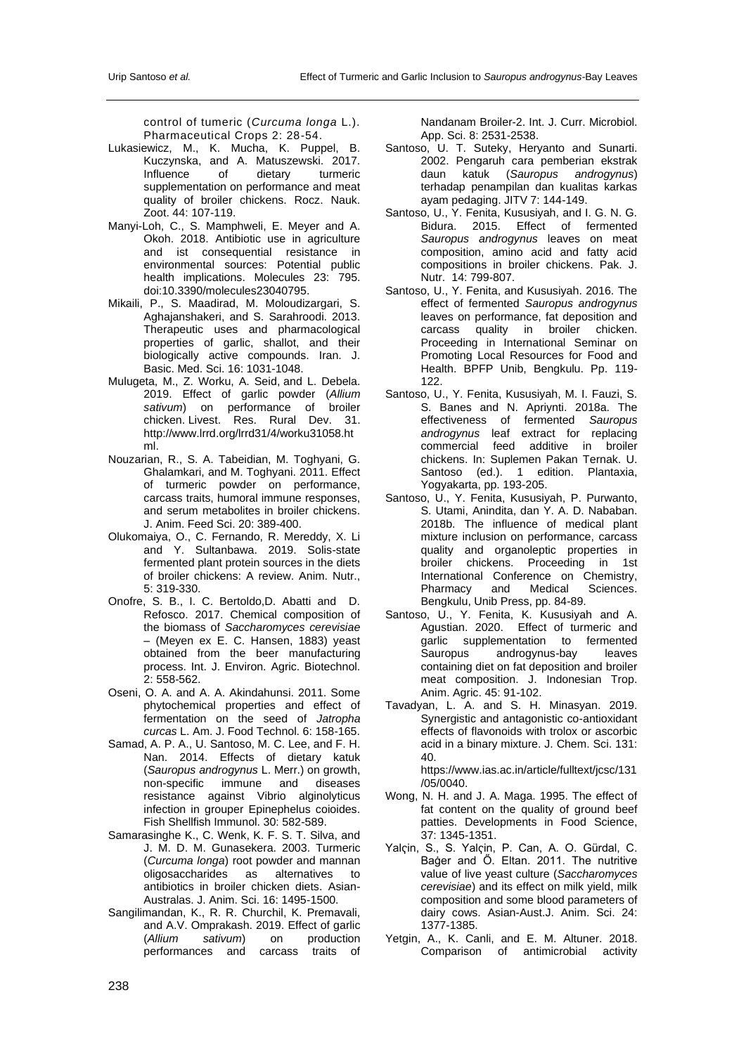control of tumeric (*Curcuma longa* L.). Pharmaceutical Crops 2: 28-54.

- Lukasiewicz, M., K. Mucha, K. Puppel, B. Kuczynska, and A. Matuszewski. 2017. Influence of dietary supplementation on performance and meat quality of broiler chickens. Rocz. Nauk. Zoot. 44: 107-119.
- Manyi-Loh, C., S. Mamphweli, E. Meyer and A. Okoh. 2018. Antibiotic use in agriculture and ist consequential resistance in environmental sources: Potential public health implications. Molecules 23: 795. doi:10.3390/molecules23040795.
- Mikaili, P., S. Maadirad, M. Moloudizargari, S. Aghajanshakeri, and S. Sarahroodi. 2013. Therapeutic uses and pharmacological properties of garlic, shallot, and their biologically active compounds. Iran. J. Basic. Med. Sci. 16: 1031-1048.
- Mulugeta, M., Z. Worku, A. Seid, and L. Debela. 2019. Effect of garlic powder (*Allium sativum*) on performance of broiler chicken. Livest. Res. Rural Dev. 31. [http://www.lrrd.org/lrrd31/4/worku31058.ht](http://www.lrrd.org/lrrd31/4/worku31058.html) [ml.](http://www.lrrd.org/lrrd31/4/worku31058.html)
- Nouzarian, R., S. A. Tabeidian, M. Toghyani, G. Ghalamkari, and M. Toghyani. 2011. Effect of turmeric powder on performance, carcass traits, humoral immune responses, and serum metabolites in broiler chickens. J. Anim. Feed Sci. 20: 389-400.
- Olukomaiya, O., C. Fernando, R. Mereddy, X. Li and Y. Sultanbawa. 2019. Solis-state fermented plant protein sources in the diets of broiler chickens: A review. Anim. Nutr., 5: 319-330.
- Onofre, S. B., I. C. Bertoldo,D. Abatti and D. Refosco. 2017. Chemical composition of the biomass of *Saccharomyces cerevisiae*  – (Meyen ex E. C. Hansen, 1883) yeast obtained from the beer manufacturing process. Int. J. Environ. Agric. Biotechnol. 2: 558-562.
- Oseni, O. A. and A. A. Akindahunsi. 2011. Some phytochemical properties and effect of fermentation on the seed of *Jatropha curcas* L. Am. J. Food Technol. 6: 158-165.
- Samad, A. P. A., U. Santoso, M. C. Lee, and F. H. Nan. 2014. Effects of dietary katuk (*Sauropus androgynus* L. Merr.) on growth, non-specific immune and diseases resistance against Vibrio alginolyticus infection in grouper Epinephelus coioides. Fish Shellfish Immunol. 30: 582-589.
- Samarasinghe K., C. Wenk, K. F. S. T. Silva, and J. M. D. M. Gunasekera. 2003. Turmeric (*Curcuma longa*) root powder and mannan oligosaccharides as alternatives to antibiotics in broiler chicken diets. Asian-Australas. J. Anim. Sci. 16: 1495-1500.
- Sangilimandan, K., R. R. Churchil, K. Premavali, and A.V. Omprakash. 2019. Effect of garlic (*Allium sativum*) on production performances and carcass traits of

Nandanam Broiler-2. Int. J. Curr. Microbiol. App. Sci. 8: 2531-2538.

- Santoso, U. T. Suteky, Heryanto and Sunarti. 2002. Pengaruh cara pemberian ekstrak daun katuk (*Sauropus androgynus*) terhadap penampilan dan kualitas karkas ayam pedaging. JITV 7: 144-149.
- Santoso, U., Y. Fenita, Kususiyah, and I. G. N. G. Bidura. 2015. Effect of fermented *Sauropus androgynus* leaves on meat composition, amino acid and fatty acid compositions in broiler chickens. Pak. J. Nutr. 14: 799-807.
- Santoso, U., Y. Fenita, and Kususiyah. 2016. The effect of fermented *Sauropus androgynus* leaves on performance, fat deposition and carcass quality in broiler chicken. Proceeding in International Seminar on Promoting Local Resources for Food and Health. BPFP Unib, Bengkulu. Pp. 119- 122.
- Santoso, U., Y. Fenita, Kususiyah, M. I. Fauzi, S. S. Banes and N. Apriynti. 2018a. The effectiveness of fermented *Sauropus androgynus* leaf extract for replacing commercial feed additive in broiler chickens. In: Suplemen Pakan Ternak. U. Santoso (ed.). 1 edition. Plantaxia, Yogyakarta, pp. 193-205.
- Santoso, U., Y. Fenita, Kususiyah, P. Purwanto, S. Utami, Anindita, dan Y. A. D. Nababan. 2018b. The influence of medical plant mixture inclusion on performance, carcass quality and organoleptic properties in broiler chickens. Proceeding in 1st International Conference on Chemistry, Pharmacy and Medical Sciences. Bengkulu, Unib Press, pp. 84-89.
- Santoso, U., Y. Fenita, K. Kususiyah and A. Agustian. 2020. Effect of turmeric and garlic supplementation to fermented<br>Sauropus androgynus-bay leaves androgynus-bay containing diet on fat deposition and broiler meat composition. J. Indonesian Trop. Anim. Agric. 45: 91-102.
- Tavadyan, L. A. and S. H. Minasyan. 2019. Synergistic and antagonistic co-antioxidant effects of flavonoids with trolox or ascorbic acid in a binary mixture. J. Chem. Sci. 131: 40.

[https://www.ias.ac.in/article/fulltext/jcsc/131](https://www.ias.ac.in/article/fulltext/jcsc/131/05/0040) [/05/0040.](https://www.ias.ac.in/article/fulltext/jcsc/131/05/0040)

- Wong, N. H. and J. A. Maga. 1995. The effect of fat content on the quality of ground beef patties. Developments in Food Science, 37: 1345-1351.
- Yalҁin, S., S. Yalҁin, P. Can, A. O. Gürdal, C. Baġer and Ő. Eltan. 2011. The nutritive value of live yeast culture (*Saccharomyces cerevisiae*) and its effect on milk yield, milk composition and some blood parameters of dairy cows. Asian-Aust.J. Anim. Sci. 24: 1377-1385.
- Yetgin, A., K. Canli, and E. M. Altuner. 2018. Comparison of antimicrobial activity